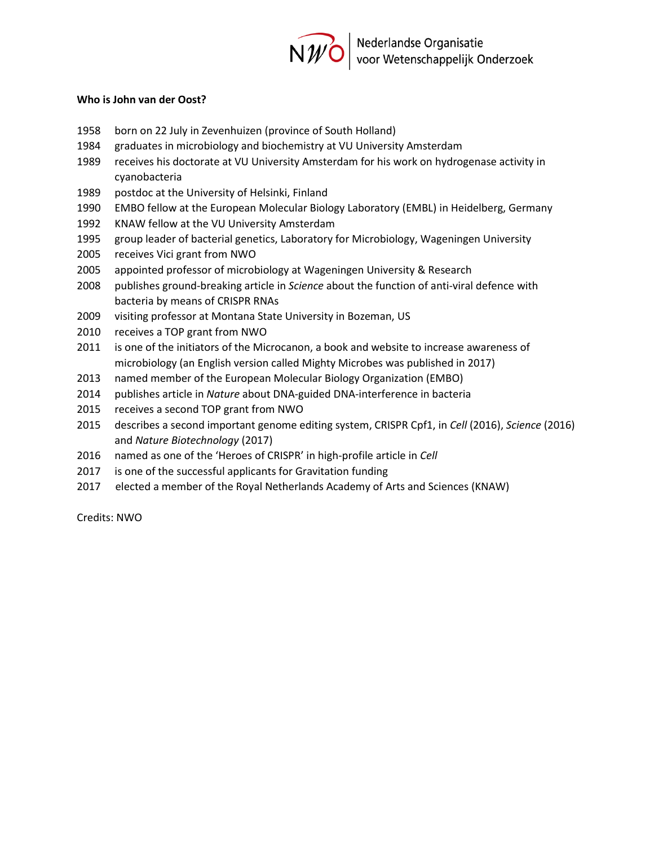

## **Who is John van der Oost?**

- 1958 born on 22 July in Zevenhuizen (province of South Holland)
- 1984 graduates in microbiology and biochemistry at VU University Amsterdam
- 1989 receives his doctorate at VU University Amsterdam for his work on hydrogenase activity in cyanobacteria
- 1989 postdoc at the University of Helsinki, Finland
- 1990 EMBO fellow at the European Molecular Biology Laboratory (EMBL) in Heidelberg, Germany
- 1992 KNAW fellow at the VU University Amsterdam
- 1995 group leader of bacterial genetics, Laboratory for Microbiology, Wageningen University
- 2005 receives Vici grant from NWO
- 2005 appointed professor of microbiology at Wageningen University & Research
- 2008 publishes ground-breaking article in *Science* about the function of anti-viral defence with bacteria by means of CRISPR RNAs
- 2009 visiting professor at Montana State University in Bozeman, US
- 2010 receives a TOP grant from NWO
- 2011 is one of the initiators of the Microcanon, a book and website to increase awareness of microbiology (an English version called Mighty Microbes was published in 2017)
- 2013 named member of the European Molecular Biology Organization (EMBO)
- 2014 publishes article in *Nature* about DNA-guided DNA-interference in bacteria
- 2015 receives a second TOP grant from NWO
- 2015 describes a second important genome editing system, CRISPR Cpf1, in *Cell* (2016), *Science* (2016) and *Nature Biotechnology* (2017)
- 2016 named as one of the 'Heroes of CRISPR' in high-profile article in *Cell*
- 2017 is one of the successful applicants for Gravitation funding
- 2017 elected a member of the Royal Netherlands Academy of Arts and Sciences (KNAW)

Credits: NWO